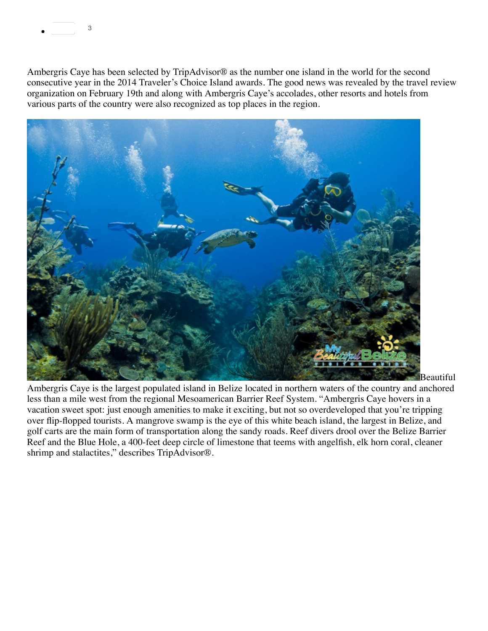

Ambergris Caye has been selected by TripAdvisor® as the number one island in the world for the second consecutive year in the 2014 Traveler's Choice Island awards. The good news was revealed by the travel review organization on February 19th and along with Ambergris Caye's accolades, other resorts and hotels from various parts of the country were also recognized as top places in the region.



Ambergris Caye is the largest populated island in Belize located in northern waters of the country and anchored less than a mile west from the regional Mesoamerican Barrier Reef System. "Ambergris Caye hovers in a vacation sweet spot: just enough amenities to make it exciting, but not so overdeveloped that you're tripping over flip-flopped tourists. A mangrove swamp is the eye of this white beach island, the largest in Belize, and golf carts are the main form of transportation along the sandy roads. Reef divers drool over the Belize Barrier Reef and the Blue Hole, a 400-feet deep circle of limestone that teems with angelfish, elk horn coral, cleaner shrimp and stalactites," describes TripAdvisor®.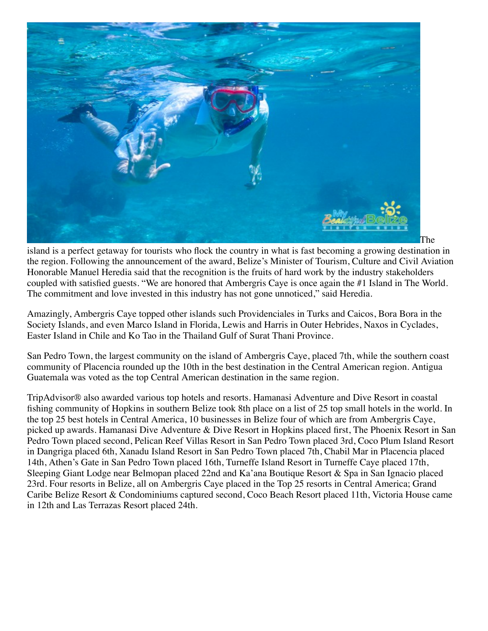

island is a perfect getaway for tourists who flock the country in what is fast becoming a growing destination in the region. Following the announcement of the award, Belize's Minister of Tourism, Culture and Civil Aviation Honorable Manuel Heredia said that the recognition is the fruits of hard work by the industry stakeholders coupled with satisfied guests. "We are honored that Ambergris Caye is once again the #1 Island in The World. The commitment and love invested in this industry has not gone unnoticed," said Heredia.

Amazingly, Ambergris Caye topped other islands such Providenciales in Turks and Caicos, Bora Bora in the Society Islands, and even Marco Island in Florida, Lewis and Harris in Outer Hebrides, Naxos in Cyclades, Easter Island in Chile and Ko Tao in the Thailand Gulf of Surat Thani Province.

San Pedro Town, the largest community on the island of Ambergris Caye, placed 7th, while the southern coast community of Placencia rounded up the 10th in the best destination in the Central American region. Antigua Guatemala was voted as the top Central American destination in the same region.

TripAdvisor® also awarded various top hotels and resorts. Hamanasi Adventure and Dive Resort in coastal fishing community of Hopkins in southern Belize took 8th place on a list of 25 top small hotels in the world. In the top 25 best hotels in Central America, 10 businesses in Belize four of which are from Ambergris Caye, picked up awards. Hamanasi Dive Adventure & Dive Resort in Hopkins placed first, The Phoenix Resort in San Pedro Town placed second, Pelican Reef Villas Resort in San Pedro Town placed 3rd, Coco Plum Island Resort in Dangriga placed 6th, Xanadu Island Resort in San Pedro Town placed 7th, Chabil Mar in Placencia placed 14th, Athen's Gate in San Pedro Town placed 16th, Turneffe Island Resort in Turneffe Caye placed 17th, Sleeping Giant Lodge near Belmopan placed 22nd and Ka'ana Boutique Resort & Spa in San Ignacio placed 23rd. Four resorts in Belize, all on Ambergris Caye placed in the Top 25 resorts in Central America; Grand Caribe Belize Resort & Condominiums captured second, Coco Beach Resort placed 11th, Victoria House came in 12th and Las Terrazas Resort placed 24th.